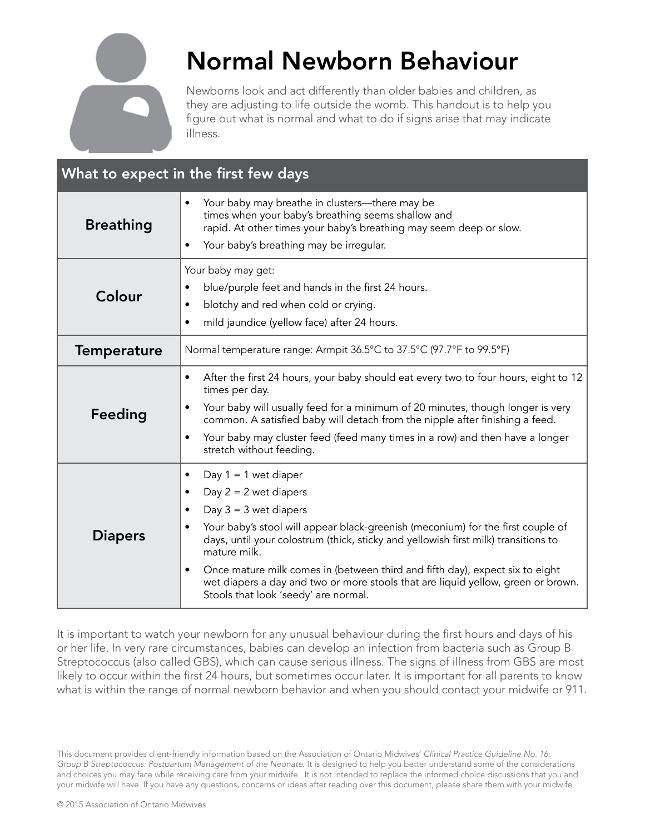

# Normal Newborn Behaviour

Newborns look and act differently than older babies and children, as they are adjusting to life outside the womb. This handout is to help you figure out what is normal and what to do if signs arise that may indicate illness.

| What to expect in the first few days |                                                                                                                                                                                                                                                                                                                                                                                                                                                                                                                                       |
|--------------------------------------|---------------------------------------------------------------------------------------------------------------------------------------------------------------------------------------------------------------------------------------------------------------------------------------------------------------------------------------------------------------------------------------------------------------------------------------------------------------------------------------------------------------------------------------|
| <b>Breathing</b>                     | Your baby may breathe in clusters-there may be<br>$\bullet$<br>times when your baby's breathing seems shallow and<br>rapid. At other times your baby's breathing may seem deep or slow.<br>Your baby's breathing may be irregular.<br>$\bullet$                                                                                                                                                                                                                                                                                       |
| Colour                               | Your baby may get:<br>blue/purple feet and hands in the first 24 hours.<br>$\bullet$<br>blotchy and red when cold or crying.<br>$\bullet$<br>mild jaundice (yellow face) after 24 hours.<br>$\bullet$                                                                                                                                                                                                                                                                                                                                 |
| <b>Temperature</b>                   | Normal temperature range: Armpit 36.5°C to 37.5°C (97.7°F to 99.5°F)                                                                                                                                                                                                                                                                                                                                                                                                                                                                  |
| Feeding                              | After the first 24 hours, your baby should eat every two to four hours, eight to 12<br>$\bullet$<br>times per day.<br>Your baby will usually feed for a minimum of 20 minutes, though longer is very<br>$\bullet$<br>common. A satisfied baby will detach from the nipple after finishing a feed.<br>Your baby may cluster feed (feed many times in a row) and then have a longer<br>$\bullet$<br>stretch without feeding.                                                                                                            |
| <b>Diapers</b>                       | Day $1 = 1$ wet diaper<br>$\bullet$<br>Day $2 = 2$ wet diapers<br>$\bullet$<br>Day $3 = 3$ wet diapers<br>$\bullet$<br>Your baby's stool will appear black-greenish (meconium) for the first couple of<br>days, until your colostrum (thick, sticky and yellowish first milk) transitions to<br>mature milk.<br>Once mature milk comes in (between third and fifth day), expect six to eight<br>$\bullet$<br>wet diapers a day and two or more stools that are liquid yellow, green or brown.<br>Stools that look 'seedy' are normal. |

It is important to watch your newborn for any unusual behaviour during the first hours and days of his or her life. In very rare circumstances, babies can develop an infection from bacteria such as Group B Streptococcus (also called GBS), which can cause serious illness. The signs of illness from GBS are most likely to occur within the first 24 hours, but sometimes occur later. It is important for all parents to know what is within the range of normal newborn behavior and when you should contact your midwife or 911.

This document provides client-friendly information based on the Association of Ontario Midwives' *Clinical Practice Guideline No. 16: Group B Streptococcus: Postpartum Management of the Neonate*. It is designed to help you better understand some of the considerations and choices you may face while receiving care from your midwife. It is not intended to replace the informed choice discussions that you and your midwife will have. If you have any questions, concerns or ideas after reading over this document, please share them with your midwife.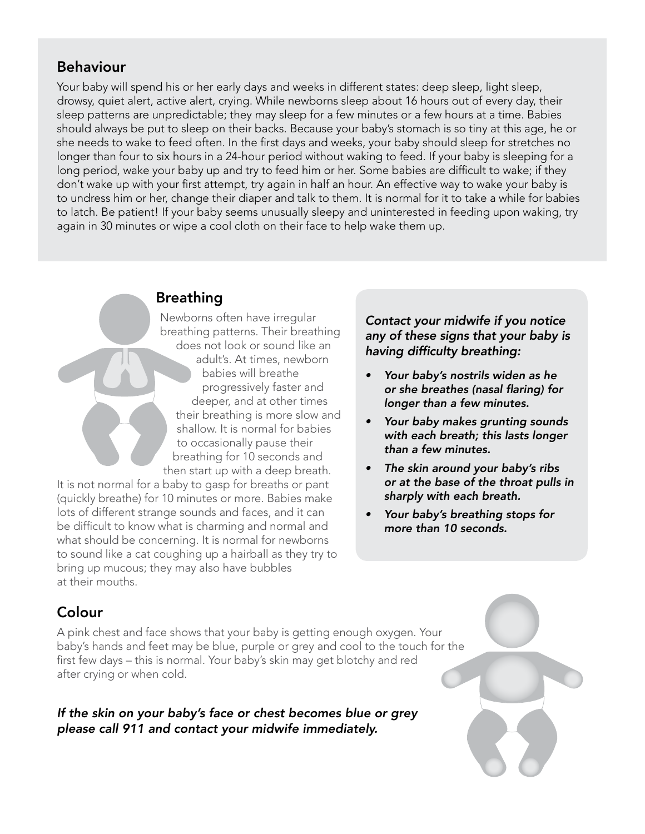#### Behaviour

Your baby will spend his or her early days and weeks in different states: deep sleep, light sleep, drowsy, quiet alert, active alert, crying. While newborns sleep about 16 hours out of every day, their sleep patterns are unpredictable; they may sleep for a few minutes or a few hours at a time. Babies should always be put to sleep on their backs. Because your baby's stomach is so tiny at this age, he or she needs to wake to feed often. In the first days and weeks, your baby should sleep for stretches no longer than four to six hours in a 24-hour period without waking to feed. If your baby is sleeping for a long period, wake your baby up and try to feed him or her. Some babies are difficult to wake; if they don't wake up with your first attempt, try again in half an hour. An effective way to wake your baby is to undress him or her, change their diaper and talk to them. It is normal for it to take a while for babies to latch. Be patient! If your baby seems unusually sleepy and uninterested in feeding upon waking, try again in 30 minutes or wipe a cool cloth on their face to help wake them up.

#### Breathing

Newborns often have irregular breathing patterns. Their breathing does not look or sound like an adult's. At times, newborn babies will breathe progressively faster and deeper, and at other times their breathing is more slow and shallow. It is normal for babies to occasionally pause their breathing for 10 seconds and then start up with a deep breath.

It is not normal for a baby to gasp for breaths or pant (quickly breathe) for 10 minutes or more. Babies make lots of different strange sounds and faces, and it can be difficult to know what is charming and normal and what should be concerning. It is normal for newborns to sound like a cat coughing up a hairball as they try to bring up mucous; they may also have bubbles at their mouths.

*Contact your midwife if you notice any of these signs that your baby is*  having difficulty breathing:

- *• Your baby's nostrils widen as he*  or she breathes (nasal flaring) for *longer than a few minutes.*
- *• Your baby makes grunting sounds with each breath; this lasts longer than a few minutes.*
- *• The skin around your baby's ribs or at the base of the throat pulls in sharply with each breath.*
- *• Your baby's breathing stops for more than 10 seconds.*

## Colour

A pink chest and face shows that your baby is getting enough oxygen. Your baby's hands and feet may be blue, purple or grey and cool to the touch for the first few days – this is normal. Your baby's skin may get blotchy and red after crying or when cold.

*If the skin on your baby's face or chest becomes blue or grey please call 911 and contact your midwife immediately.*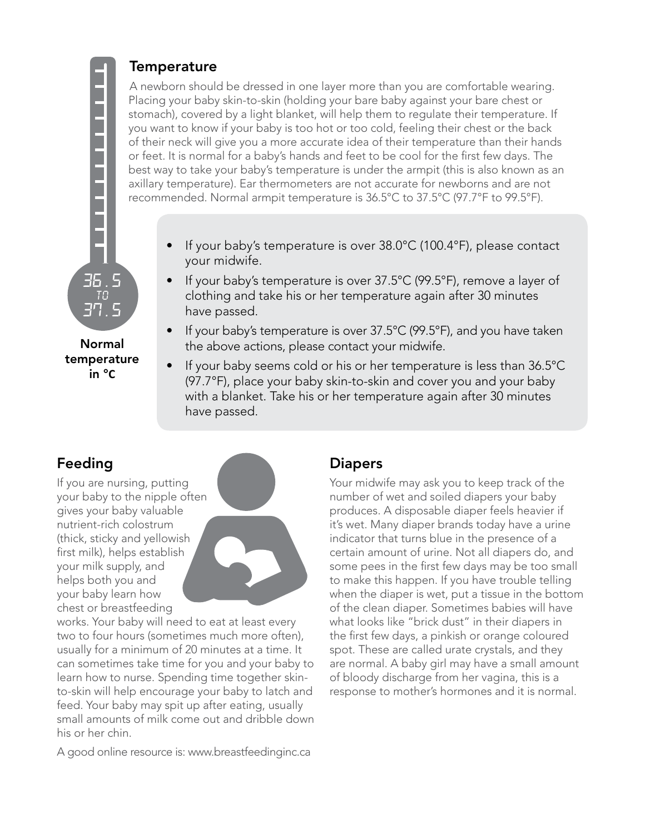temperature in °**C**

#### **Temperature**

A newborn should be dressed in one layer more than you are comfortable wearing. Placing your baby skin-to-skin (holding your bare baby against your bare chest or stomach), covered by a light blanket, will help them to regulate their temperature. If you want to know if your baby is too hot or too cold, feeling their chest or the back of their neck will give you a more accurate idea of their temperature than their hands or feet. It is normal for a baby's hands and feet to be cool for the first few days. The best way to take your baby's temperature is under the armpit (this is also known as an axillary temperature). Ear thermometers are not accurate for newborns and are not recommended. Normal armpit temperature is 36.5°C to 37.5°C (97.7°F to 99.5°F).

- If your baby's temperature is over 38.0°C (100.4°F), please contact your midwife.
- If your baby's temperature is over 37.5°C (99.5°F), remove a layer of clothing and take his or her temperature again after 30 minutes have passed.
- If your baby's temperature is over 37.5°C (99.5°F), and you have taken the above actions, please contact your midwife.
- If your baby seems cold or his or her temperature is less than 36.5°C (97.7°F), place your baby skin-to-skin and cover you and your baby with a blanket. Take his or her temperature again after 30 minutes have passed.

## Feeding

If you are nursing, putting your baby to the nipple often gives your baby valuable nutrient-rich colostrum (thick, sticky and yellowish first milk), helps establish your milk supply, and helps both you and your baby learn how chest or breastfeeding



works. Your baby will need to eat at least every two to four hours (sometimes much more often), usually for a minimum of 20 minutes at a time. It can sometimes take time for you and your baby to learn how to nurse. Spending time together skinto-skin will help encourage your baby to latch and feed. Your baby may spit up after eating, usually small amounts of milk come out and dribble down his or her chin.

A good online resource is: www.breastfeedinginc.ca

#### **Diapers**

Your midwife may ask you to keep track of the number of wet and soiled diapers your baby produces. A disposable diaper feels heavier if it's wet. Many diaper brands today have a urine indicator that turns blue in the presence of a certain amount of urine. Not all diapers do, and some pees in the first few days may be too small to make this happen. If you have trouble telling when the diaper is wet, put a tissue in the bottom of the clean diaper. Sometimes babies will have what looks like "brick dust" in their diapers in the first few days, a pinkish or orange coloured spot. These are called urate crystals, and they are normal. A baby girl may have a small amount of bloody discharge from her vagina, this is a response to mother's hormones and it is normal.